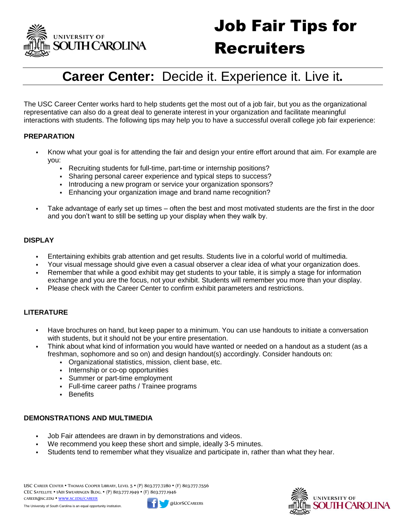

# Job Fair Tips for **Recruiters**

# **Career Center:** Decide it. Experience it. Live it**.**

The USC Career Center works hard to help students get the most out of a job fair, but you as the organizational representative can also do a great deal to generate interest in your organization and facilitate meaningful interactions with students. The following tips may help you to have a successful overall college job fair experience:

#### **PREPARATION**

- Know what your goal is for attending the fair and design your entire effort around that aim. For example are you:
	- Recruiting students for full-time, part-time or internship positions?
	- Sharing personal career experience and typical steps to success?
	- Introducing a new program or service your organization sponsors?
	- Enhancing your organization image and brand name recognition?
- Take advantage of early set up times often the best and most motivated students are the first in the door and you don't want to still be setting up your display when they walk by.

#### **DISPLAY**

- Entertaining exhibits grab attention and get results. Students live in a colorful world of multimedia.
- Your visual message should give even a casual observer a clear idea of what your organization does.
- Remember that while a good exhibit may get students to your table, it is simply a stage for information exchange and you are the focus, not your exhibit. Students will remember you more than your display.
- Please check with the Career Center to confirm exhibit parameters and restrictions.

#### **LITERATURE**

- Have brochures on hand, but keep paper to a minimum. You can use handouts to initiate a conversation with students, but it should not be your entire presentation.
- Think about what kind of information you would have wanted or needed on a handout as a student (as a freshman, sophomore and so on) and design handout(s) accordingly. Consider handouts on:
	- Organizational statistics, mission, client base, etc.
	- **Internship or co-op opportunities**
	- Summer or part-time employment
	- Full-time career paths / Trainee programs
	- **Benefits**

#### **DEMONSTRATIONS AND MULTIMEDIA**

- Job Fair attendees are drawn in by demonstrations and videos.
- We recommend you keep these short and simple, ideally 3-5 minutes.
- Students tend to remember what they visualize and participate in, rather than what they hear.

USC CAREER CENTER ▪ THOMAS COOPER LIBRARY, LEVEL 5 ▪ (P) 803.777.7280 ▪ (F) 803.777.7556 CEC SATELLITE ▪ 1A01 SWEARINGEN BLDG. ▪ (P) 803.777.1949 ▪ (F) 803.777.1946 CAREER@SC.EDU ▪ WWW.SC.EDU/CAREER